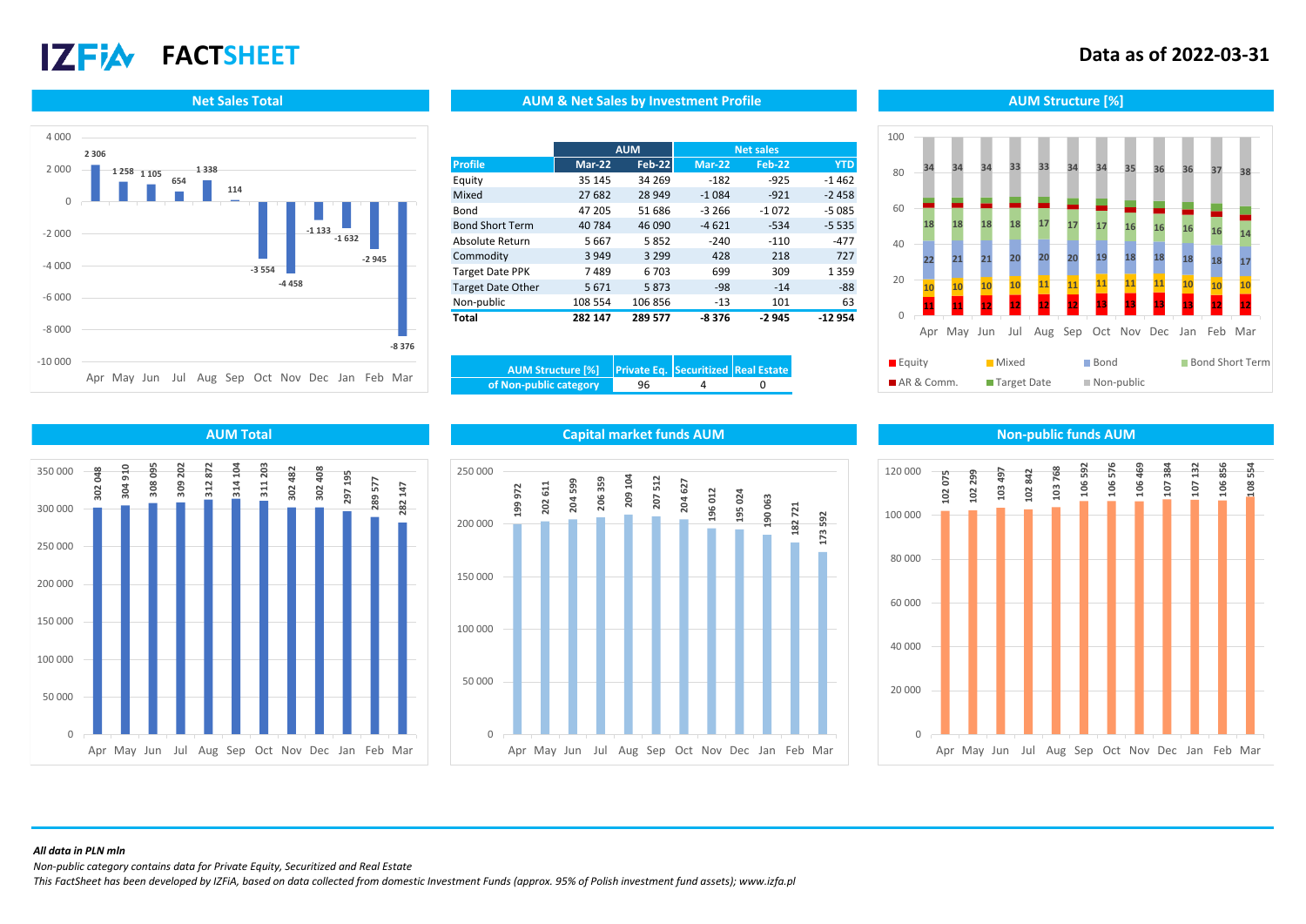# **17 FIA**

## **FACTSHEET Data as of 2022-03-31**



### **Net Sales Total AUM Structure [%]** AUM AUM & Net Sales by Investment Profile Aument Aum Structure [%]

|                          |               | <b>AUM</b>    |               | <b>Net sales</b> |            |
|--------------------------|---------------|---------------|---------------|------------------|------------|
| <b>Profile</b>           | <b>Mar-22</b> | <b>Feb-22</b> | <b>Mar-22</b> | <b>Feb-22</b>    | <b>YTD</b> |
| Equity                   | 35 145        | 34 269        | $-182$        | $-925$           | $-1462$    |
| Mixed                    | 27 682        | 28 949        | $-1084$       | $-921$           | $-2458$    |
| Bond                     | 47 205        | 51 686        | $-3266$       | $-1072$          | $-5085$    |
| <b>Bond Short Term</b>   | 40 784        | 46 090        | $-4621$       | $-534$           | $-5535$    |
| Absolute Return          | 5667          | 5852          | $-240$        | $-110$           | $-477$     |
| Commodity                | 3 9 4 9       | 3 2 9 9       | 428           | 218              | 727        |
| <b>Target Date PPK</b>   | 7489          | 6 703         | 699           | 309              | 1 3 5 9    |
| <b>Target Date Other</b> | 5671          | 5873          | $-98$         | $-14$            | $-88$      |
| Non-public               | 108 554       | 106 856       | $-13$         | 101              | 63         |
| Total                    | 282 147       | 289 577       | -8376         | $-2945$          | $-12954$   |

| AUM Structure [%] Private Eq. Securitized Real Estate |    |  |
|-------------------------------------------------------|----|--|
| of Non-public category                                | 96 |  |





### **AUM Total Capital market funds AUM Non-public funds AUM**





### *All data in PLN mln*

*Non-public category contains data for Private Equity, Securitized and Real Estate*

*This FactSheet has been developed by IZFiA, based on data collected from domestic Investment Funds (approx. 95% of Polish investment fund assets); www.izfa.pl*